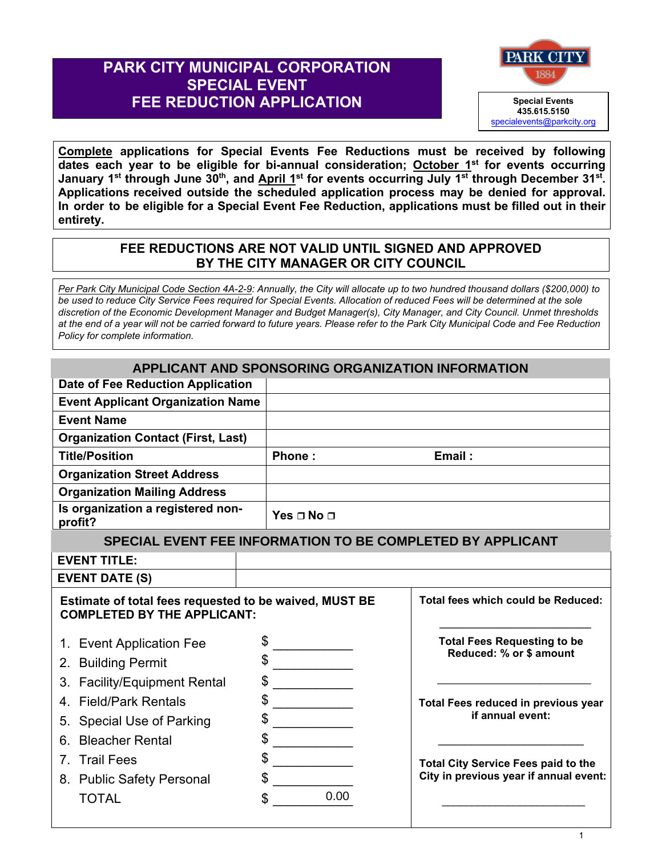# **PARK CITY MUNICIPAL CORPORATION SPECIAL EVENT FEE REDUCTION APPLICATION**



**Complete applications for Special Events Fee Reductions must be received by following dates each year to be eligible for bi-annual consideration; October 1st for events occurring**  January 1<sup>st</sup> through June 30<sup>th</sup>, and <u>April 1</u><sup>st</sup> for events occurring July 1<sup>st</sup> through December 31<sup>st</sup>. **Applications received outside the scheduled application process may be denied for approval. In order to be eligible for a Special Event Fee Reduction, applications must be filled out in their entirety.** 

## **FEE REDUCTIONS ARE NOT VALID UNTIL SIGNED AND APPROVED BY THE CITY MANAGER OR CITY COUNCIL**

*Per Park City Municipal Code Section 4A-2-9: Annually, the City will allocate up to two hundred thousand dollars (\$200,000) to be used to reduce City Service Fees required for Special Events. Allocation of reduced Fees will be determined at the sole discretion of the Economic Development Manager and Budget Manager(s), City Manager, and City Council. Unmet thresholds at the end of a year will not be carried forward to future years. Please refer to the Park City Municipal Code and Fee Reduction Policy for complete information.* 

| <b>APPLICANT AND SPONSORING ORGANIZATION INFORMATION</b>                                     |    |                      |  |                                            |
|----------------------------------------------------------------------------------------------|----|----------------------|--|--------------------------------------------|
| <b>Date of Fee Reduction Application</b>                                                     |    |                      |  |                                            |
| <b>Event Applicant Organization Name</b>                                                     |    |                      |  |                                            |
| <b>Event Name</b>                                                                            |    |                      |  |                                            |
| <b>Organization Contact (First, Last)</b>                                                    |    |                      |  |                                            |
| <b>Title/Position</b>                                                                        |    | Email:<br>Phone:     |  |                                            |
| <b>Organization Street Address</b>                                                           |    |                      |  |                                            |
| <b>Organization Mailing Address</b>                                                          |    |                      |  |                                            |
| Is organization a registered non-<br>profit?                                                 |    | Yes $\Box$ No $\Box$ |  |                                            |
| SPECIAL EVENT FEE INFORMATION TO BE COMPLETED BY APPLICANT                                   |    |                      |  |                                            |
| <b>EVENT TITLE:</b>                                                                          |    |                      |  |                                            |
| <b>EVENT DATE (S)</b>                                                                        |    |                      |  |                                            |
| Estimate of total fees requested to be waived, MUST BE<br><b>COMPLETED BY THE APPLICANT:</b> |    |                      |  | Total fees which could be Reduced:         |
| 1. Event Application Fee                                                                     | \$ |                      |  | <b>Total Fees Requesting to be</b>         |
| 2. Building Permit                                                                           | \$ |                      |  | Reduced: % or \$ amount                    |
| 3. Facility/Equipment Rental                                                                 | \$ |                      |  |                                            |
| 4. Field/Park Rentals                                                                        | \$ |                      |  | Total Fees reduced in previous year        |
| 5. Special Use of Parking                                                                    | \$ |                      |  | if annual event:                           |
| <b>Bleacher Rental</b><br>6.                                                                 | \$ |                      |  |                                            |
| 7. Trail Fees                                                                                | \$ |                      |  | <b>Total City Service Fees paid to the</b> |
| 8. Public Safety Personal                                                                    | \$ |                      |  | City in previous year if annual event:     |
| <b>TOTAL</b>                                                                                 | \$ | 0.00                 |  |                                            |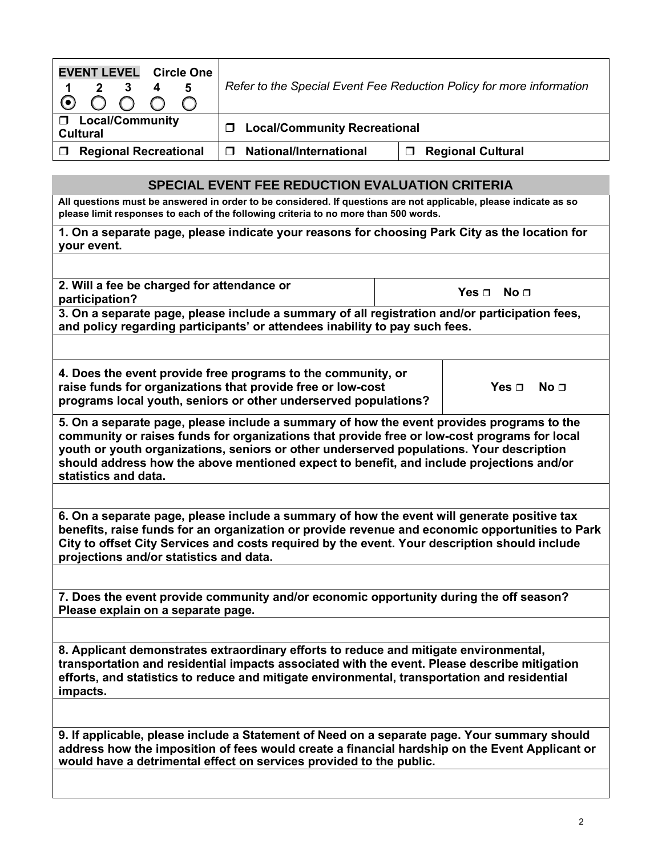| <b>EVENT LEVEL</b><br><b>Circle One</b><br>$\overline{\mathbf{3}}$<br>5<br>$\mathbf{2}$<br>4<br>$O$ $O$ $O$ $O$ | Refer to the Special Event Fee Reduction Policy for more information |                          |  |
|-----------------------------------------------------------------------------------------------------------------|----------------------------------------------------------------------|--------------------------|--|
| □ Local/Community<br><b>Cultural</b>                                                                            | <b>Local/Community Recreational</b>                                  |                          |  |
| <b>Regional Recreational</b><br>$\Box$                                                                          | □ National/International                                             | <b>Regional Cultural</b> |  |

# **SPECIAL EVENT FEE REDUCTION EVALUATION CRITERIA SPECIAL EVENT FEE REDUCTION EVALUATION CRITERIA**

**All questions must be answered in order to be considered. If questions are not applicable, please indicate as so please limit responses to each of the following criteria to no more than 500 words.** 

**1. On a separate page, please indicate your reasons for choosing Park City as the location for your event.**

**2. Will a fee be charged for attendance or participation? Yes No** 

**3. On a separate page, please include a summary of all registration and/or participation fees, and policy regarding participants' or attendees inability to pay such fees.**

**4. Does the event provide free programs to the community, or raise funds for organizations that provide free or low-cost programs local youth, seniors or other underserved populations?**

**Yes No** 

**5. On a separate page, please include a summary of how the event provides programs to the community or raises funds for organizations that provide free or low-cost programs for local youth or youth organizations, seniors or other underserved populations. Your description should address how the above mentioned expect to benefit, and include projections and/or statistics and data.**

**6. On a separate page, please include a summary of how the event will generate positive tax benefits, raise funds for an organization or provide revenue and economic opportunities to Park City to offset City Services and costs required by the event. Your description should include projections and/or statistics and data.**

**7. Does the event provide community and/or economic opportunity during the off season? Please explain on a separate page.**

**8. Applicant demonstrates extraordinary efforts to reduce and mitigate environmental, transportation and residential impacts associated with the event. Please describe mitigation efforts, and statistics to reduce and mitigate environmental, transportation and residential impacts.**

**9. If applicable, please include a Statement of Need on a separate page. Your summary should address how the imposition of fees would create a financial hardship on the Event Applicant or would have a detrimental effect on services provided to the public.**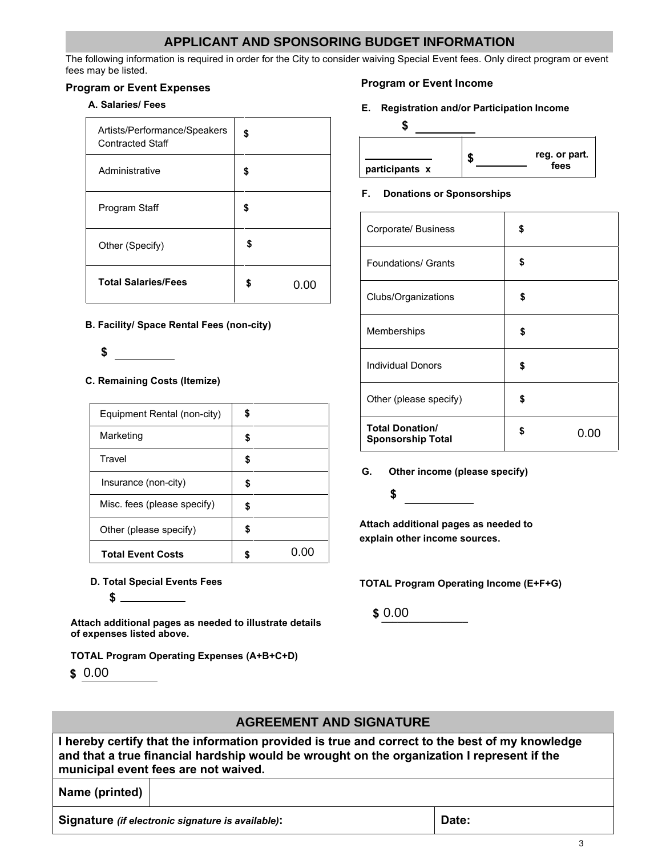## **APPLICANT AND SPONSORING BUDGET INFORMATION**

The following information is required in order for the City to consider waiving Special Event fees. Only direct program or event fees may be listed.

### **Program or Event Expenses**

#### **A. Salaries/ Fees**

| Artists/Performance/Speakers<br><b>Contracted Staff</b> | \$ |      |
|---------------------------------------------------------|----|------|
| Administrative                                          | \$ |      |
| Program Staff                                           | \$ |      |
| Other (Specify)                                         | S  |      |
| <b>Total Salaries/Fees</b>                              | \$ | 0.00 |

#### **B. Facility/ Space Rental Fees (non-city)**



### **C. Remaining Costs (Itemize)**

| Equipment Rental (non-city)                                                                                                 | \$         |                                                                       |    |      |
|-----------------------------------------------------------------------------------------------------------------------------|------------|-----------------------------------------------------------------------|----|------|
| Marketing                                                                                                                   | \$         | <b>Total Donation/</b><br><b>Sponsorship Total</b>                    | \$ | 0.00 |
| Travel                                                                                                                      | \$         | G.<br>Other income (please specify)                                   |    |      |
| Insurance (non-city)                                                                                                        | \$         |                                                                       |    |      |
| Misc. fees (please specify)                                                                                                 | \$         | \$                                                                    |    |      |
| Other (please specify)                                                                                                      | \$         | Attach additional pages as needed to<br>explain other income sources. |    |      |
| <b>Total Event Costs</b>                                                                                                    | \$<br>0.00 |                                                                       |    |      |
| <b>D. Total Special Events Fees</b><br>\$<br>ach additional pages as needed to illustrate details<br>expenses listed above. |            | <b>TOTAL Program Operating Income (E+F+G)</b><br>\$0.00               |    |      |
| TAL Program Operating Expenses (A+B+C+D)<br>0.00                                                                            |            |                                                                       |    |      |

#### **D. Total Special Events Fees**

$$
\texttt{\$}
$$

**Attach additional pages as needed to illustrate details of expenses listed above.** 

#### **TOTAL Program Operating Expenses (A+B+C+D)**

**\$** 

## **Program or Event Income**



#### **F. Donations or Sponsorships**

| Expenses               |                                     |                                                                       | <b>Program or Event Income</b> |                       |  |
|------------------------|-------------------------------------|-----------------------------------------------------------------------|--------------------------------|-----------------------|--|
|                        |                                     | <b>Registration and/or Participation Income</b><br>Е.                 |                                |                       |  |
| ance/Speakers<br>ff.   | \$                                  | \$                                                                    |                                |                       |  |
|                        | \$                                  | participants x                                                        | \$                             | reg. or part.<br>fees |  |
|                        | \$                                  | <b>Donations or Sponsorships</b><br>F.                                |                                |                       |  |
|                        | \$                                  | Corporate/ Business                                                   | \$                             |                       |  |
|                        |                                     | <b>Foundations/ Grants</b>                                            |                                | \$                    |  |
| Fees                   | \$<br>0.00                          | Clubs/Organizations                                                   |                                | \$                    |  |
| Rental Fees (non-city) |                                     | Memberships                                                           |                                | \$                    |  |
| sts (Itemize)          |                                     | <b>Individual Donors</b>                                              |                                | \$                    |  |
|                        |                                     | Other (please specify)                                                |                                | \$                    |  |
| htal (non-city)        | \$<br>\$                            | <b>Total Donation/</b><br><b>Sponsorship Total</b>                    |                                | \$<br>0.00            |  |
|                        | \$                                  |                                                                       |                                |                       |  |
| ⊢city)                 | \$                                  | G.<br>Other income (please specify)                                   |                                |                       |  |
| ase specify)           | \$                                  | \$                                                                    |                                |                       |  |
| specify)               | \$                                  | Attach additional pages as needed to<br>explain other income sources. |                                |                       |  |
| osts                   | 0.00<br>\$                          |                                                                       |                                |                       |  |
| <b>Events Fees</b>     |                                     | <b>TOTAL Program Operating Income (E+F+G)</b>                         |                                |                       |  |
| bove.                  | ges as needed to illustrate details | \$0.00                                                                |                                |                       |  |
|                        | erating Expenses (A+B+C+D)          |                                                                       |                                |                       |  |
|                        |                                     |                                                                       |                                |                       |  |
|                        | <b>AGREEMENT AND SIGNATURE</b>      |                                                                       |                                |                       |  |

#### **G. Other income (please specify)**

# AGREEMENT AND SIGNATURE AND SIGNATURE AND SIGNATURE AND SIGNATURE AND SIGNATURE AND SIGNATURE AND SIGNATURE AN **I hereby certify that the information provided is true and correct to the best of my knowledge and that a true financial hardship would be wrought on the organization I represent if the municipal event fees are not waived. Name (printed) Signature** *(if electronic signature is available)***: Date:**